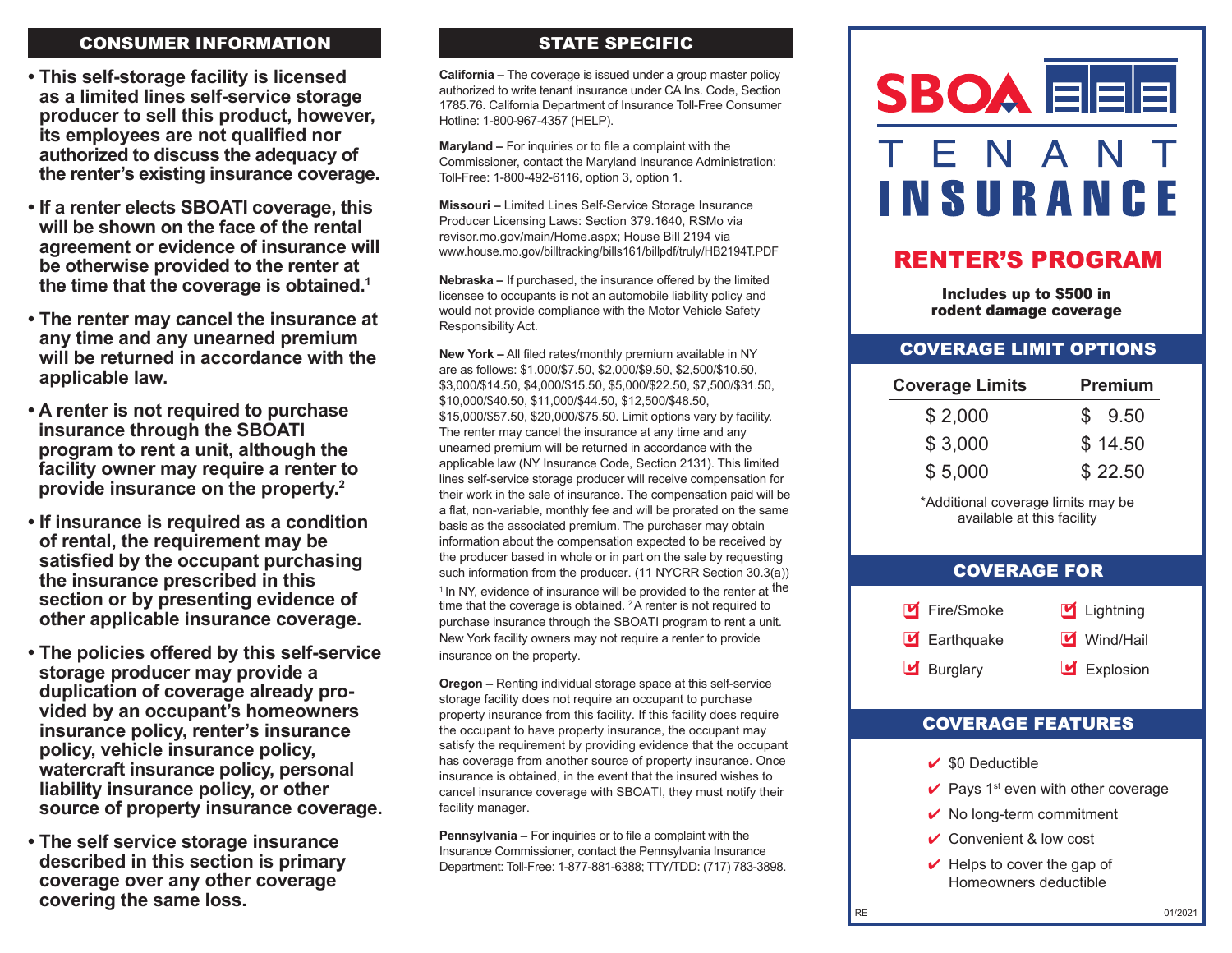### CONSUMER INFORMATION

- **• This self-storage facility is licensed as a limited lines self-service storage producer to sell this product, however, its employees are not qualified nor authorized to discuss the adequacy of the renter's existing insurance coverage.**
- **• If a renter elects SBOATI coverage, this will be shown on the face of the rental agreement or evidence of insurance will be otherwise provided to the renter at the time that the coverage is obtained.1**
- **• The renter may cancel the insurance at any time and any unearned premium will be returned in accordance with the applicable law.**
- **• A renter is not required to purchase insurance through the SBOATI program to rent a unit, although the facility owner may require a renter to provide insurance on the property. 2**
- **• If insurance is required as a condition of rental, the requirement may be satisfied by the occupant purchasing the insurance prescribed in this section or by presenting evidence of other applicable insurance coverage.**
- **• The policies offered by this self-service storage producer may provide a duplication of coverage already provided by an occupant's homeowners insurance policy, renter's insurance policy, vehicle insurance policy, watercraft insurance policy, personal liability insurance policy, or other source of property insurance coverage.**
- **• The self service storage insurance described in this section is primary coverage over any other coverage covering the same loss.**

# STATE SPECIFIC

**California –** The coverage is issued under a group master policy authorized to write tenant insurance under CA Ins. Code, Section 1785.76. California Department of Insurance Toll-Free Consumer Hotline: 1-800-967-4357 (HELP).

**Maryland –** For inquiries or to file a complaint with the Commissioner, contact the Maryland Insurance Administration: Toll-Free: 1-800-492-6116, option 3, option 1.

**Missouri –** Limited Lines Self-Service Storage Insurance Producer Licensing Laws: Section 379.1640, RSMo via revisor.mo.gov/main/Home.aspx; House Bill 2194 via www.house.mo.gov/billtracking/bills161/billpdf/truly/HB2194T.PDF

**Nebraska –** If purchased, the insurance offered by the limited licensee to occupants is not an automobile liability policy and would not provide compliance with the Motor Vehicle Safety Responsibility Act.

**New York –** All filed rates/monthly premium available in NY are as follows: \$1,000/\$7.50, \$2,000/\$9.50, \$2,500/\$10.50, \$3,000/\$14.50, \$4,000/\$15.50, \$5,000/\$22.50, \$7,500/\$31.50, \$10,000/\$40.50, \$11,000/\$44.50, \$12,500/\$48.50, \$15,000/\$57.50, \$20,000/\$75.50. Limit options vary by facility. The renter may cancel the insurance at any time and any unearned premium will be returned in accordance with the applicable law (NY Insurance Code, Section 2131). This limited lines self-service storage producer will receive compensation for their work in the sale of insurance. The compensation paid will be a flat, non-variable, monthly fee and will be prorated on the same basis as the associated premium. The purchaser may obtain information about the compensation expected to be received by the producer based in whole or in part on the sale by requesting such information from the producer. (11 NYCRR Section 30.3(a))

<sup>1</sup> In NY, evidence of insurance will be provided to the renter at <sup>the</sup> time that the coverage is obtained. <sup>2</sup>A renter is not required to purchase insurance through the SBOATI program to rent a unit. New York facility owners may not require a renter to provide insurance on the property.

**Oregon –** Renting individual storage space at this self-service storage facility does not require an occupant to purchase property insurance from this facility. If this facility does require the occupant to have property insurance, the occupant may satisfy the requirement by providing evidence that the occupant has coverage from another source of property insurance. Once insurance is obtained, in the event that the insured wishes to cancel insurance coverage with SBOATI, they must notify their facility manager.

**Pennsylvania –** For inquiries or to file a complaint with the Insurance Commissioner, contact the Pennsylvania Insurance Department: Toll-Free: 1-877-881-6388; TTY/TDD: (717) 783-3898.



# RENTER'S PROGRAM

Includes up to \$500 in rodent damage coverage

#### COVERAGE LIMIT OPTIONS

| <b>Coverage Limits</b> | <b>Premium</b> |
|------------------------|----------------|
| \$2,000                | \$9.50         |
| \$3,000                | \$14.50        |
| \$5,000                | \$22.50        |

\*Additional coverage limits may be available at this facility

#### COVERAGE FOR



### COVERAGE FEATURES

- $\vee$  \$0 Deductible
- $\vee$  Pays 1<sup>st</sup> even with other coverage
- $\vee$  No long-term commitment
- $\vee$  Convenient & low cost
- $\vee$  Helps to cover the gap of Homeowners deductible